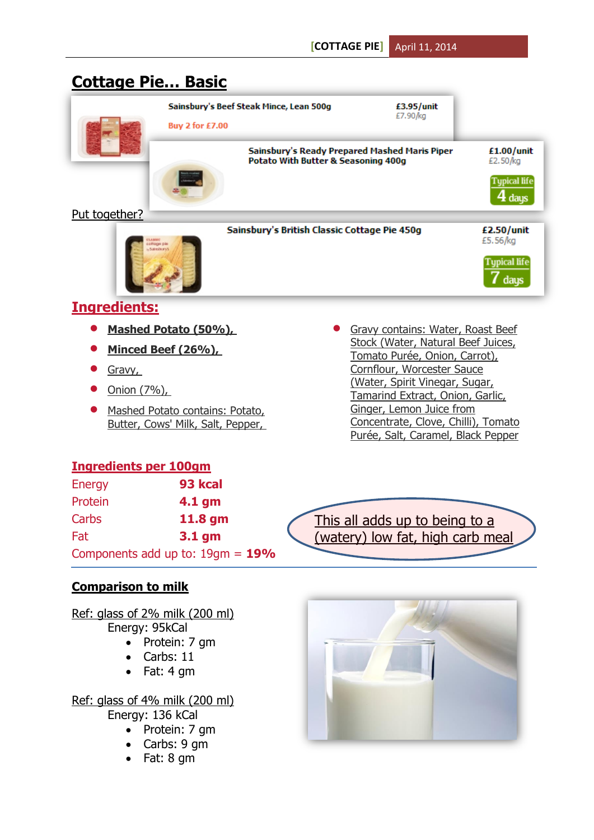# **Cottage Pie… Basic**

|               | Sainsbury's Beef Steak Mince, Lean 500g                                           |                                               |                        |
|---------------|-----------------------------------------------------------------------------------|-----------------------------------------------|------------------------|
|               | <b>Buy 2 for £7.00</b>                                                            |                                               |                        |
|               | Potato With Butter & Seasoning 400g                                               | Sainsbury's Ready Prepared Mashed Maris Piper | £1.00/unit<br>£2.50/kg |
|               |                                                                                   |                                               |                        |
| Put together? |                                                                                   |                                               |                        |
|               | Sainsbury's British Classic Cottage Pie 450g<br>officios ple<br><b>Salvatorys</b> |                                               | £2.50/unit<br>£5.56/kg |
|               |                                                                                   |                                               |                        |

# **Ingredients:**

**Mashed Potato (50%),**

**Contract on the Second State** 

- **Minced Beef (26%),**
- **Gravy**,
- Onion (7%),
- Mashed Potato contains: Potato, Butter, Cows' Milk, Salt, Pepper,
- Gravy contains: Water, Roast Beef Stock (Water, Natural Beef Juices, Tomato Purée, Onion, Carrot), Cornflour, Worcester Sauce (Water, Spirit Vinegar, Sugar, Tamarind Extract, Onion, Garlic, Ginger, Lemon Juice from Concentrate, Clove, Chilli), Tomato Purée, Salt, Caramel, Black Pepper

# **Ingredients per 100gm**

| Energy                             | 93 kcal  |
|------------------------------------|----------|
| Protein                            | $4.1$ gm |
| Carbs                              | 11.8 gm  |
| Fat                                | $3.1$ gm |
| Components add up to: $19gm = 19%$ |          |

This all adds up to being to a (watery) low fat, high carb meal

# **Comparison to milk**

Ref: glass of 2% milk (200 ml) Energy: 95kCal

- Protein: 7 gm
- Carbs: 11
- Fat: 4 gm

Ref: glass of 4% milk (200 ml)

Energy: 136 kCal

- Protein: 7 gm
- Carbs: 9 gm
- Fat: 8 gm

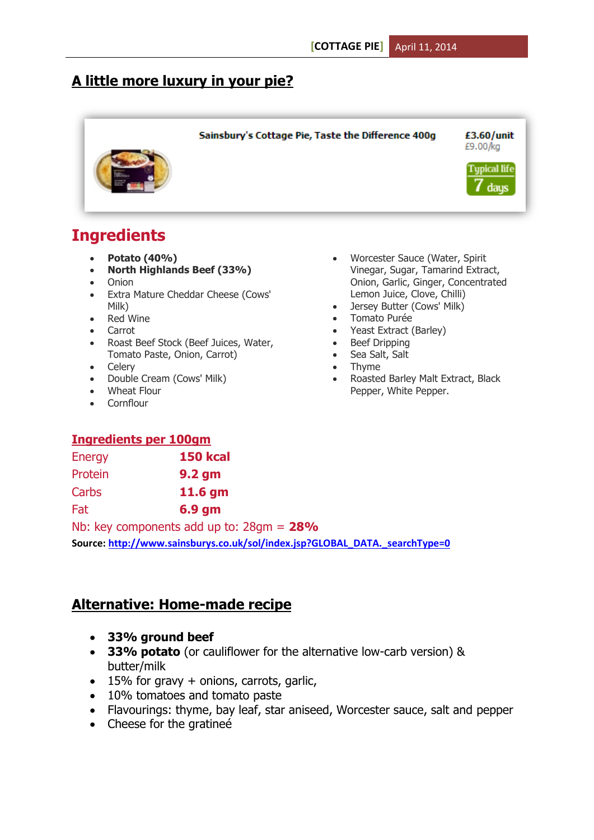# **A little more luxury in your pie?**



# **Ingredients**

- **Potato (40%)**
- **North Highlands Beef (33%)**
- Onion
- Extra Mature Cheddar Cheese (Cows' Milk)
- Red Wine
- Carrot
- Roast Beef Stock (Beef Juices, Water, Tomato Paste, Onion, Carrot)
- Celerv
- Double Cream (Cows' Milk)
- Wheat Flour
- Cornflour

# **Ingredients per 100gm**

| <b>Energy</b> | <b>150 kcal</b>   |
|---------------|-------------------|
| Protein       | 9.2 <sub>gm</sub> |
| Carbs         | 11.6 gm           |
| Fat           | $6.9$ gm          |

Nb: key components add up to: 28gm = **28% Source[: http://www.sainsburys.co.uk/sol/index.jsp?GLOBAL\\_DATA.\\_searchType=0](http://www.sainsburys.co.uk/sol/index.jsp?GLOBAL_DATA._searchType=0)**

### **Alternative: Home-made recipe**

- **33% ground beef**
- **33% potato** (or cauliflower for the alternative low-carb version) & butter/milk
- $\bullet$  15% for gravy + onions, carrots, garlic,
- 10% tomatoes and tomato paste
- Flavourings: thyme, bay leaf, star aniseed, Worcester sauce, salt and pepper
- Cheese for the gratinee
- Worcester Sauce (Water, Spirit Vinegar, Sugar, Tamarind Extract, Onion, Garlic, Ginger, Concentrated Lemon Juice, Clove, Chilli)
- Jersey Butter (Cows' Milk)
- Tomato Purée
- Yeast Extract (Barley)
- Beef Dripping
- Sea Salt, Salt
- Thyme
- Roasted Barley Malt Extract, Black Pepper, White Pepper.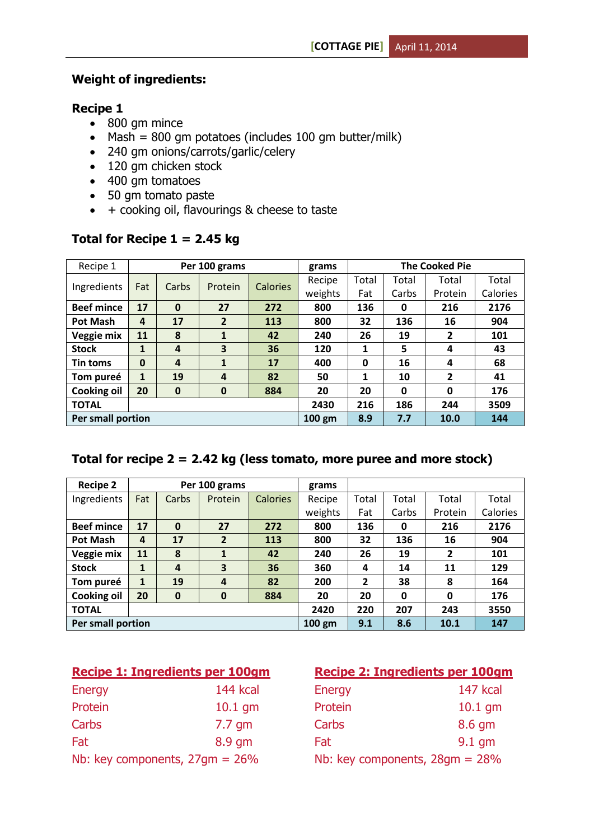#### **Weight of ingredients:**

#### **Recipe 1**

- 800 gm mince
- $Maxh = 800$  gm potatoes (includes 100 gm butter/milk)
- 240 gm onions/carrots/garlic/celery
- 120 gm chicken stock
- 400 gm tomatoes
- 50 gm tomato paste
- $+$  cooking oil, flavourings & cheese to taste

| Recipe 1           | Per 100 grams |                |                |                 | grams   | <b>The Cooked Pie</b> |       |         |          |
|--------------------|---------------|----------------|----------------|-----------------|---------|-----------------------|-------|---------|----------|
| Ingredients        | Fat           | Carbs          | Protein        | <b>Calories</b> | Recipe  | Total                 | Total | Total   | Total    |
|                    |               |                |                |                 | weights | Fat                   | Carbs | Protein | Calories |
| <b>Beef mince</b>  | 17            | $\mathbf{0}$   | 27             | 272             | 800     | 136                   | 0     | 216     | 2176     |
| <b>Pot Mash</b>    | 4             | 17             | $\overline{2}$ | 113             | 800     | 32                    | 136   | 16      | 904      |
| Veggie mix         | 11            | 8              | 1              | 42              | 240     | 26                    | 19    | 2       | 101      |
| <b>Stock</b>       | $\mathbf{1}$  | 4              | 3              | 36              | 120     | 1                     | 5     | 4       | 43       |
| Tin toms           | $\mathbf 0$   | $\overline{4}$ | 1              | 17              | 400     | 0                     | 16    | 4       | 68       |
| Tom pureé          | $\mathbf{1}$  | 19             | 4              | 82              | 50      | 1                     | 10    | 2       | 41       |
| <b>Cooking oil</b> | 20            | $\bf{0}$       | $\bf{0}$       | 884             | 20      | 20                    | 0     | 0       | 176      |
| <b>TOTAL</b>       |               |                |                |                 | 2430    | 216                   | 186   | 244     | 3509     |
| Per small portion  |               |                |                | $100$ gm        | 8.9     | 7.7                   | 10.0  | 144     |          |

#### **Total for Recipe 1 = 2.45 kg**

#### **Total for recipe 2 = 2.42 kg (less tomato, more puree and more stock)**

| <b>Recipe 2</b>          | Per 100 grams  |                  |                  | grams           |          |                |       |                |          |
|--------------------------|----------------|------------------|------------------|-----------------|----------|----------------|-------|----------------|----------|
| Ingredients              | Fat            | Carbs            | Protein          | <b>Calories</b> | Recipe   | Total          | Total | Total          | Total    |
|                          |                |                  |                  |                 | weights  | Fat            | Carbs | Protein        | Calories |
| <b>Beef mince</b>        | 17             | $\bf{0}$         | 27               | 272             | 800      | 136            | 0     | 216            | 2176     |
| Pot Mash                 | $\overline{4}$ | 17               | $\overline{2}$   | 113             | 800      | 32             | 136   | 16             | 904      |
| Veggie mix               | 11             | 8                | 1                | 42              | 240      | 26             | 19    | $\overline{2}$ | 101      |
| <b>Stock</b>             | $\mathbf{1}$   | $\boldsymbol{4}$ | 3                | 36              | 360      | 4              | 14    | 11             | 129      |
| Tom pureé                | $\mathbf{1}$   | 19               | $\boldsymbol{4}$ | 82              | 200      | $\overline{2}$ | 38    | 8              | 164      |
| <b>Cooking oil</b>       | 20             | 0                | 0                | 884             | 20       | 20             | 0     | 0              | 176      |
| <b>TOTAL</b>             |                |                  |                  |                 | 2420     | 220            | 207   | 243            | 3550     |
| <b>Per small portion</b> |                |                  |                  |                 | $100$ gm | 9.1            | 8.6   | 10.1           | 147      |

| Recipe 1: Ingredients per 100qm   |                 |  |  |  |  |
|-----------------------------------|-----------------|--|--|--|--|
| <b>Energy</b>                     | <b>144 kcal</b> |  |  |  |  |
| Protein                           | $10.1$ gm       |  |  |  |  |
| Carbs                             | $7.7$ gm        |  |  |  |  |
| Fat                               | 8.9 qm          |  |  |  |  |
| Nb: key components, $27gm = 26\%$ |                 |  |  |  |  |

#### **Recipe 2: Ingredients per 100gm**

| Energy                            | 147 kcal  |
|-----------------------------------|-----------|
| Protein                           | $10.1$ gm |
| Carbs                             | 8.6 gm    |
| Fat                               | $9.1$ qm  |
| Nb: key components, $28gm = 28\%$ |           |